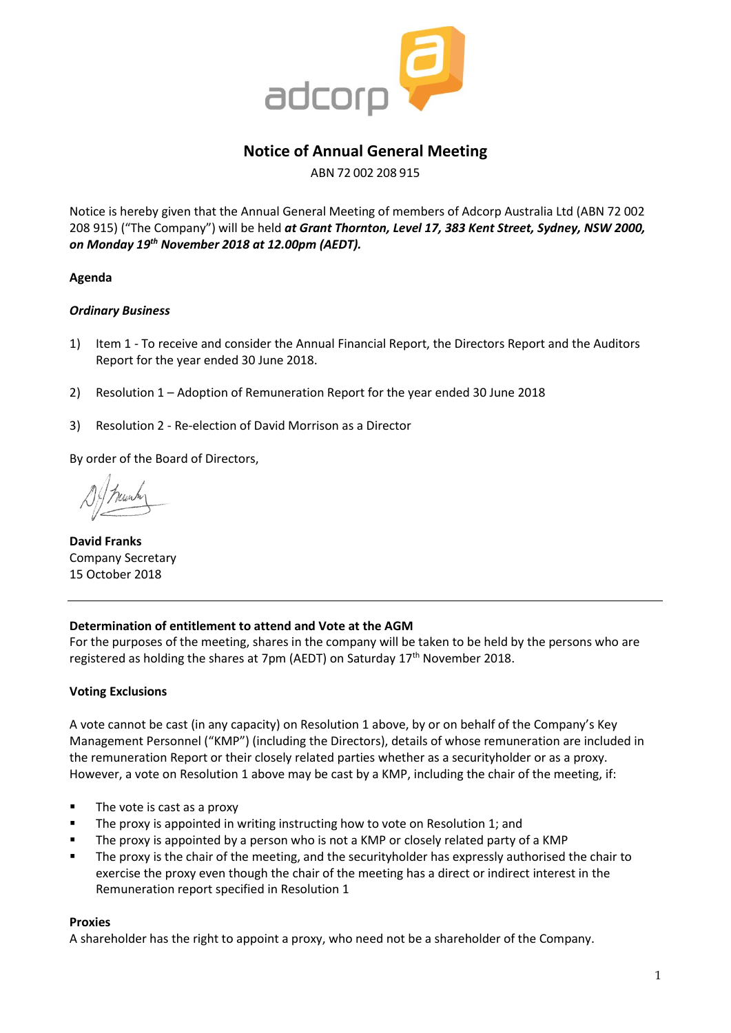

# **Notice of Annual General Meeting**

ABN 72 002 208 915

Notice is hereby given that the Annual General Meeting of members of Adcorp Australia Ltd (ABN 72 002 208 915) ("The Company") will be held *at Grant Thornton, Level 17, 383 Kent Street, Sydney, NSW 2000, on Monday 19th November 2018 at 12.00pm (AEDT).*

#### **Agenda**

#### *Ordinary Business*

- 1) Item 1 To receive and consider the Annual Financial Report, the Directors Report and the Auditors Report for the year ended 30 June 2018.
- 2) Resolution 1 Adoption of Remuneration Report for the year ended 30 June 2018
- 3) Resolution 2 Re-election of David Morrison as a Director

By order of the Board of Directors,

**David Franks** Company Secretary 15 October 2018

#### **Determination of entitlement to attend and Vote at the AGM**

For the purposes of the meeting, shares in the company will be taken to be held by the persons who are registered as holding the shares at 7pm (AEDT) on Saturday 17<sup>th</sup> November 2018.

#### **Voting Exclusions**

A vote cannot be cast (in any capacity) on Resolution 1 above, by or on behalf of the Company's Key Management Personnel ("KMP") (including the Directors), details of whose remuneration are included in the remuneration Report or their closely related parties whether as a securityholder or as a proxy. However, a vote on Resolution 1 above may be cast by a KMP, including the chair of the meeting, if:

- The vote is cast as a proxy
- **The proxy is appointed in writing instructing how to vote on Resolution 1; and**
- The proxy is appointed by a person who is not a KMP or closely related party of a KMP
- The proxy is the chair of the meeting, and the securityholder has expressly authorised the chair to exercise the proxy even though the chair of the meeting has a direct or indirect interest in the Remuneration report specified in Resolution 1

#### **Proxies**

A shareholder has the right to appoint a proxy, who need not be a shareholder of the Company.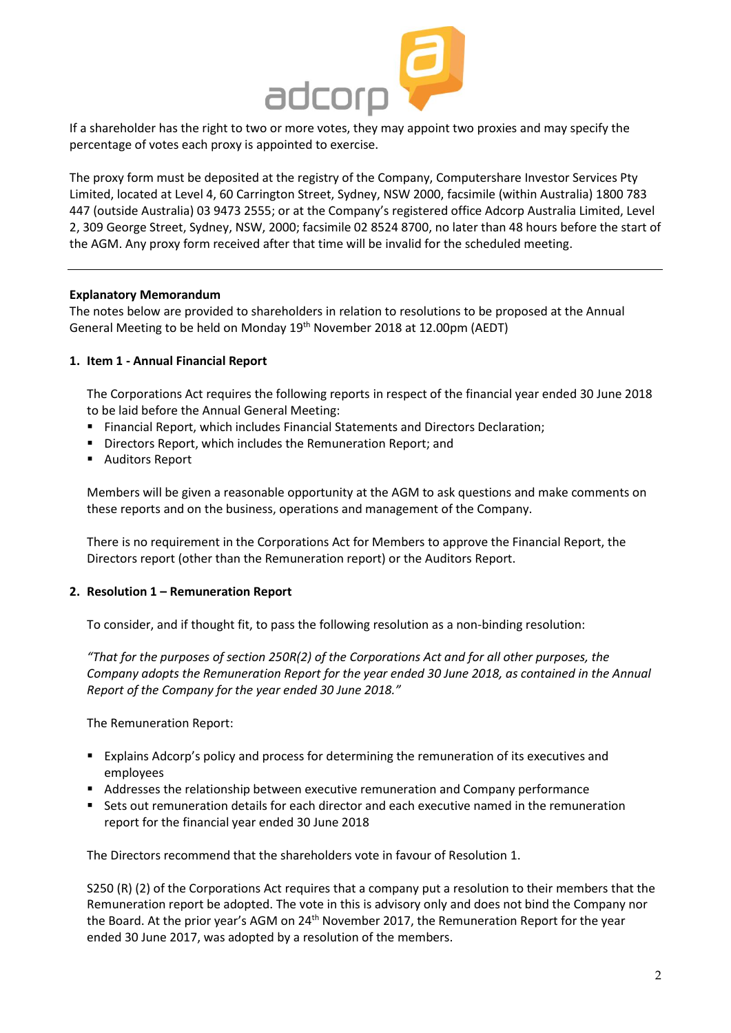

If a shareholder has the right to two or more votes, they may appoint two proxies and may specify the percentage of votes each proxy is appointed to exercise.

The proxy form must be deposited at the registry of the Company, Computershare Investor Services Pty Limited, located at Level 4, 60 Carrington Street, Sydney, NSW 2000, facsimile (within Australia) 1800 783 447 (outside Australia) 03 9473 2555; or at the Company's registered office Adcorp Australia Limited, Level 2, 309 George Street, Sydney, NSW, 2000; facsimile 02 8524 8700, no later than 48 hours before the start of the AGM. Any proxy form received after that time will be invalid for the scheduled meeting.

#### **Explanatory Memorandum**

The notes below are provided to shareholders in relation to resolutions to be proposed at the Annual General Meeting to be held on Monday 19th November 2018 at 12.00pm (AEDT)

#### **1. Item 1 - Annual Financial Report**

The Corporations Act requires the following reports in respect of the financial year ended 30 June 2018 to be laid before the Annual General Meeting:

- Financial Report, which includes Financial Statements and Directors Declaration;
- Directors Report, which includes the Remuneration Report; and
- Auditors Report

Members will be given a reasonable opportunity at the AGM to ask questions and make comments on these reports and on the business, operations and management of the Company.

There is no requirement in the Corporations Act for Members to approve the Financial Report, the Directors report (other than the Remuneration report) or the Auditors Report.

#### **2. Resolution 1 – Remuneration Report**

To consider, and if thought fit, to pass the following resolution as a non-binding resolution:

*"That for the purposes of section 250R(2) of the Corporations Act and for all other purposes, the Company adopts the Remuneration Report for the year ended 30 June 2018, as contained in the Annual Report of the Company for the year ended 30 June 2018."*

The Remuneration Report:

- Explains Adcorp's policy and process for determining the remuneration of its executives and employees
- **Addresses the relationship between executive remuneration and Company performance**
- Sets out remuneration details for each director and each executive named in the remuneration report for the financial year ended 30 June 2018

The Directors recommend that the shareholders vote in favour of Resolution 1.

S250 (R) (2) of the Corporations Act requires that a company put a resolution to their members that the Remuneration report be adopted. The vote in this is advisory only and does not bind the Company nor the Board. At the prior year's AGM on 24<sup>th</sup> November 2017, the Remuneration Report for the year ended 30 June 2017, was adopted by a resolution of the members.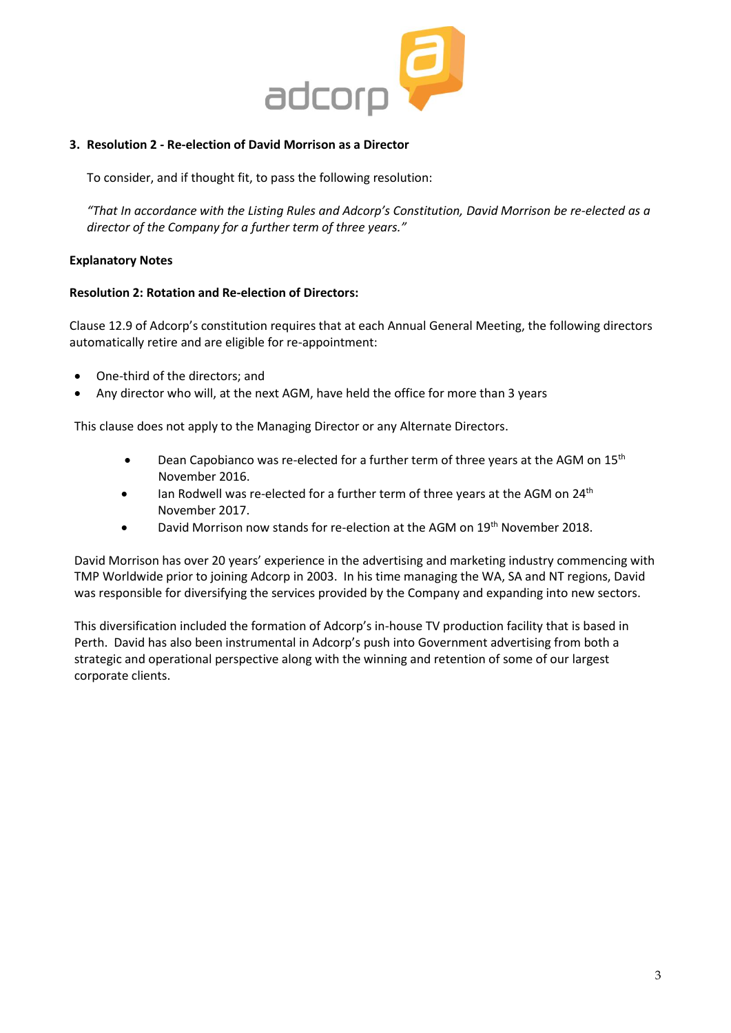

#### **3. Resolution 2 - Re-election of David Morrison as a Director**

To consider, and if thought fit, to pass the following resolution:

*"That In accordance with the Listing Rules and Adcorp's Constitution, David Morrison be re-elected as a director of the Company for a further term of three years."*

#### **Explanatory Notes**

#### **Resolution 2: Rotation and Re-election of Directors:**

Clause 12.9 of Adcorp's constitution requires that at each Annual General Meeting, the following directors automatically retire and are eligible for re-appointment:

- One-third of the directors; and
- Any director who will, at the next AGM, have held the office for more than 3 years

This clause does not apply to the Managing Director or any Alternate Directors.

- **•** Dean Capobianco was re-elected for a further term of three years at the AGM on  $15<sup>th</sup>$ November 2016.
- $\bullet$  lan Rodwell was re-elected for a further term of three years at the AGM on 24<sup>th</sup> November 2017.
- David Morrison now stands for re-election at the AGM on 19<sup>th</sup> November 2018.

David Morrison has over 20 years' experience in the advertising and marketing industry commencing with TMP Worldwide prior to joining Adcorp in 2003. In his time managing the WA, SA and NT regions, David was responsible for diversifying the services provided by the Company and expanding into new sectors.

This diversification included the formation of Adcorp's in-house TV production facility that is based in Perth. David has also been instrumental in Adcorp's push into Government advertising from both a strategic and operational perspective along with the winning and retention of some of our largest corporate clients.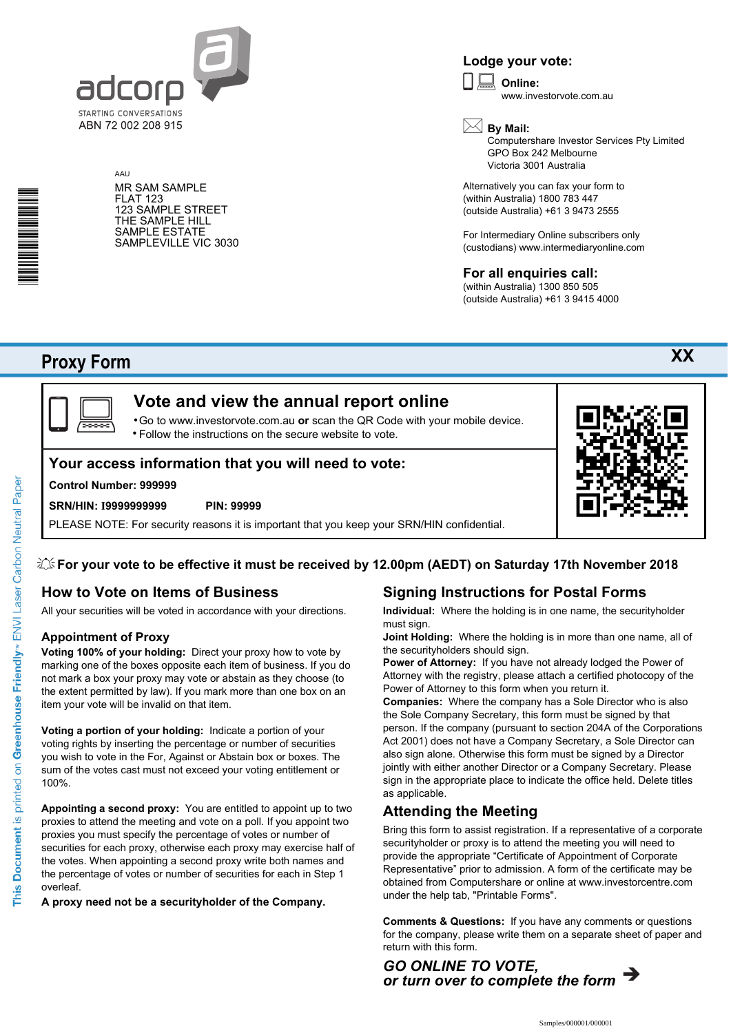

MR SAM SAMPLE

123 SAMPLE STREET THE SAMPLE HILL SAMPLE ESTATE SAMPLEVILLE VIC 3030

AAU

FLAT 123

**Lodge your vote:**

**Online:** www.investorvote.com.au

**By Mail:**

Computershare Investor Services Pty Limited GPO Box 242 Melbourne Victoria 3001 Australia

Alternatively you can fax your form to (within Australia) 1800 783 447 (outside Australia) +61 3 9473 2555

For Intermediary Online subscribers only (custodians) www.intermediaryonline.com

#### **For all enquiries call:**

(within Australia) 1300 850 505 (outside Australia) +61 3 9415 4000

# **Proxy Form**

\*<br>\* London<br>Timografia



# **Vote and view the annual report online**

Go to www.investorvote.com.au **or** scan the QR Code with your mobile device. Follow the instructions on the secure website to vote. •

### **Your access information that you will need to vote:**

#### **Control Number: 999999**

#### **SRN/HIN: I9999999999 PIN: 99999**

PLEASE NOTE: For security reasons it is important that you keep your SRN/HIN confidential.



## **How to Vote on Items of Business**

All your securities will be voted in accordance with your directions.

#### **Appointment of Proxy**

**Voting 100% of your holding:** Direct your proxy how to vote by marking one of the boxes opposite each item of business. If you do not mark a box your proxy may vote or abstain as they choose (to the extent permitted by law). If you mark more than one box on an item your vote will be invalid on that item.

**Voting a portion of your holding:** Indicate a portion of your voting rights by inserting the percentage or number of securities you wish to vote in the For, Against or Abstain box or boxes. The sum of the votes cast must not exceed your voting entitlement or 100%.

**Appointing a second proxy:** You are entitled to appoint up to two proxies to attend the meeting and vote on a poll. If you appoint two proxies you must specify the percentage of votes or number of securities for each proxy, otherwise each proxy may exercise half of the votes. When appointing a second proxy write both names and the percentage of votes or number of securities for each in Step 1 overleaf.

**A proxy need not be a securityholder of the Company.**

## **Signing Instructions for Postal Forms**

**Individual:** Where the holding is in one name, the securityholder must sign.

**Joint Holding:** Where the holding is in more than one name, all of the securityholders should sign.

**Power of Attorney:** If you have not already lodged the Power of Attorney with the registry, please attach a certified photocopy of the Power of Attorney to this form when you return it.

**Companies:** Where the company has a Sole Director who is also the Sole Company Secretary, this form must be signed by that person. If the company (pursuant to section 204A of the Corporations Act 2001) does not have a Company Secretary, a Sole Director can also sign alone. Otherwise this form must be signed by a Director jointly with either another Director or a Company Secretary. Please sign in the appropriate place to indicate the office held. Delete titles as applicable.

#### **Attending the Meeting**

Bring this form to assist registration. If a representative of a corporate securityholder or proxy is to attend the meeting you will need to provide the appropriate "Certificate of Appointment of Corporate Representative" prior to admission. A form of the certificate may be obtained from Computershare or online at www.investorcentre.com under the help tab, "Printable Forms".

**Comments & Questions:** If you have any comments or questions for the company, please write them on a separate sheet of paper and return with this form.



This Document is printed on Greenhouse Friendly<sup>n</sup> ENVI Laser Carbon Neutral Paper